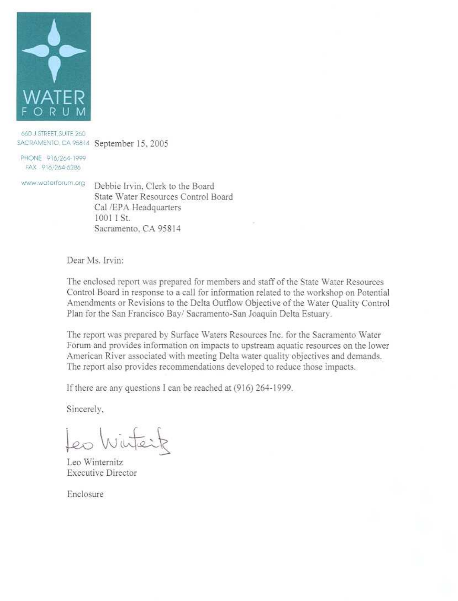

660 J STREET, SUITE 260 SACRAMENTO, CA 95814 September 15, 2005

PHONE 916/264-1999 FAX 916/264-5286

www.waterforum.org

Debbie Irvin. Clerk to the Board State Water Resources Control Board Cal /EPA Headquarters 1001 I St. Sacramento, CA 95814

Dear Ms. Irvin:

The enclosed report was prepared for members and staff of the State Water Resources Control Board in response to a call for information related to the workshop on Potential Amendments or Revisions to the Delta Outflow Objective of the Water Quality Control Plan for the San Francisco Bay/ Sacramento-San Joaquin Delta Estuary.

The report was prepared by Surface Waters Resources Inc. for the Sacramento Water Forum and provides information on impacts to upstream aquatic resources on the lower American River associated with meeting Delta water quality objectives and demands. The report also provides recommendations developed to reduce those impacts.

If there are any questions I can be reached at (916) 264-1999.

Sincerely,

Leo Watert

Leo Winternitz **Executive Director** 

Enclosure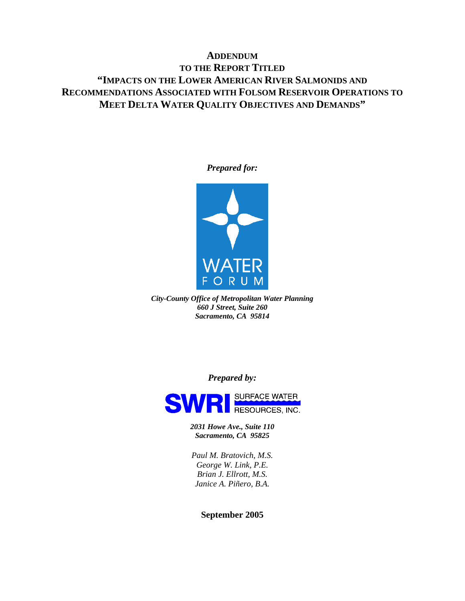### **ADDENDUM TO THE REPORT TITLED "IMPACTS ON THE LOWER AMERICAN RIVER SALMONIDS AND RECOMMENDATIONS ASSOCIATED WITH FOLSOM RESERVOIR OPERATIONS TO MEET DELTA WATER QUALITY OBJECTIVES AND DEMANDS"**

#### *Prepared for:*



*City-County Office of Metropolitan Water Planning 660 J Street, Suite 260 Sacramento, CA 95814* 

*Prepared by:* 



*2031 Howe Ave., Suite 110 Sacramento, CA 95825*

*Paul M. Bratovich, M.S. George W. Link, P.E. Brian J. Ellrott, M.S. Janice A. Piñero, B.A.* 

#### **September 2005**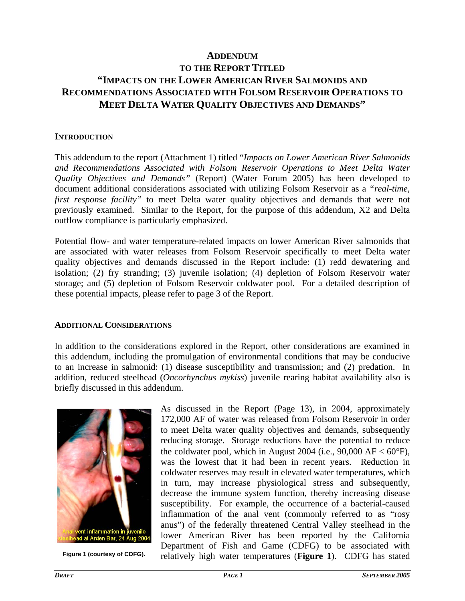### **ADDENDUM TO THE REPORT TITLED "IMPACTS ON THE LOWER AMERICAN RIVER SALMONIDS AND RECOMMENDATIONS ASSOCIATED WITH FOLSOM RESERVOIR OPERATIONS TO MEET DELTA WATER QUALITY OBJECTIVES AND DEMANDS"**

#### **INTRODUCTION**

This addendum to the report (Attachment 1) titled "*Impacts on Lower American River Salmonids and Recommendations Associated with Folsom Reservoir Operations to Meet Delta Water Quality Objectives and Demands"* (Report) (Water Forum 2005) has been developed to document additional considerations associated with utilizing Folsom Reservoir as a *"real-time, first response facility"* to meet Delta water quality objectives and demands that were not previously examined. Similar to the Report, for the purpose of this addendum, X2 and Delta outflow compliance is particularly emphasized.

Potential flow- and water temperature-related impacts on lower American River salmonids that are associated with water releases from Folsom Reservoir specifically to meet Delta water quality objectives and demands discussed in the Report include: (1) redd dewatering and isolation; (2) fry stranding; (3) juvenile isolation; (4) depletion of Folsom Reservoir water storage; and (5) depletion of Folsom Reservoir coldwater pool. For a detailed description of these potential impacts, please refer to page 3 of the Report.

#### **ADDITIONAL CONSIDERATIONS**

In addition to the considerations explored in the Report, other considerations are examined in this addendum, including the promulgation of environmental conditions that may be conducive to an increase in salmonid: (1) disease susceptibility and transmission; and (2) predation. In addition, reduced steelhead (*Oncorhynchus mykiss*) juvenile rearing habitat availability also is briefly discussed in this addendum.



As discussed in the Report (Page 13), in 2004, approximately 172,000 AF of water was released from Folsom Reservoir in order to meet Delta water quality objectives and demands, subsequently reducing storage. Storage reductions have the potential to reduce the coldwater pool, which in August 2004 (i.e., 90,000  $AF < 60^{\circ}F$ ), was the lowest that it had been in recent years. Reduction in coldwater reserves may result in elevated water temperatures, which in turn, may increase physiological stress and subsequently, decrease the immune system function, thereby increasing disease susceptibility. For example, the occurrence of a bacterial-caused inflammation of the anal vent (commonly referred to as "rosy anus") of the federally threatened Central Valley steelhead in the lower American River has been reported by the California Department of Fish and Game (CDFG) to be associated with Figure 1 (courtesy of CDFG). relatively high water temperatures (**Figure 1**). CDFG has stated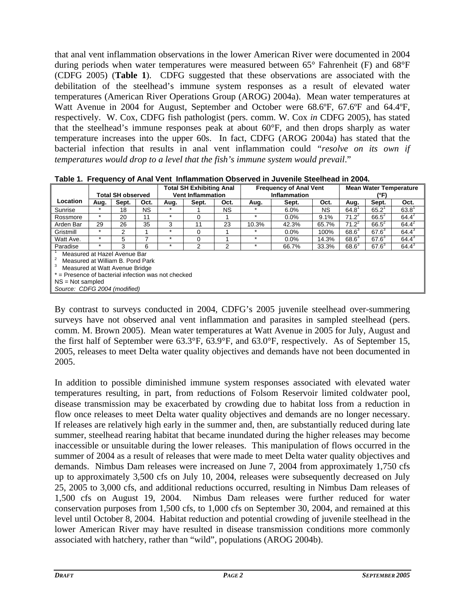that anal vent inflammation observations in the lower American River were documented in 2004 during periods when water temperatures were measured between 65° Fahrenheit (F) and 68°F (CDFG 2005) (**Table 1**). CDFG suggested that these observations are associated with the debilitation of the steelhead's immune system responses as a result of elevated water temperatures (American River Operations Group (AROG) 2004a). Mean water temperatures at Watt Avenue in 2004 for August, September and October were 68.6ºF, 67.6ºF and 64.4ºF, respectively. W. Cox, CDFG fish pathologist (pers. comm. W. Cox *in* CDFG 2005), has stated that the steelhead's immune responses peak at about 60°F, and then drops sharply as water temperature increases into the upper 60s. In fact, CDFG (AROG 2004a) has stated that the bacterial infection that results in anal vent inflammation could *"resolve on its own if temperatures would drop to a level that the fish's immune system would prevail.*"

|                                                                                                                                                                                                                 | <b>Total SH observed</b> |       |      | <b>Total SH Exhibiting Anal</b><br><b>Vent Inflammation</b> |       |      | <b>Frequency of Anal Vent</b><br>Inflammation |         |           | <b>Mean Water Temperature</b><br>(°F) |                |                |
|-----------------------------------------------------------------------------------------------------------------------------------------------------------------------------------------------------------------|--------------------------|-------|------|-------------------------------------------------------------|-------|------|-----------------------------------------------|---------|-----------|---------------------------------------|----------------|----------------|
| Location                                                                                                                                                                                                        | Aug.                     | Sept. | Oct. | Aug.                                                        | Sept. | Oct. | Aug.                                          | Sept.   | Oct.      | Aug.                                  | Sept.          | Oct.           |
| Sunrise                                                                                                                                                                                                         |                          | 18    | NS.  | $\star$                                                     |       | NS.  |                                               | $6.0\%$ | <b>NS</b> | 64.8                                  | $65.2^{\circ}$ | $63.8^{\circ}$ |
| Rossmore                                                                                                                                                                                                        | $\star$                  | 20    | 11   | $\star$                                                     | 0     |      | $\star$                                       | $0.0\%$ | 9.1%      | $71.2^2$                              | $66.5^2$       | $64.4^2$       |
| Arden Bar                                                                                                                                                                                                       | 29                       | 26    | 35   | 3                                                           | 11    | 23   | 10.3%                                         | 42.3%   | 65.7%     | $71.2^2$                              | $66.5^2$       | $64.4^{2}$     |
| Gristmill                                                                                                                                                                                                       | $\star$                  | 2     |      | $\star$                                                     | 0     |      |                                               | $0.0\%$ | 100%      | $68.6^3$                              | $67.6^3$       | $64.4^3$       |
| Watt Ave.                                                                                                                                                                                                       | $\star$                  | 5     |      | $\star$                                                     | 0     |      | ÷                                             | $0.0\%$ | 14.3%     | $68.6^3$                              | $67.6^3$       | $64.4^3$       |
| Paradise                                                                                                                                                                                                        |                          | 3     | 6    | ÷                                                           | 2     | 2    | $\star$                                       | 66.7%   | 33.3%     | $68.6^3$                              | $67.6^3$       | $64.4^{3}$     |
| Measured at Hazel Avenue Bar<br>Measured at William B. Pond Park<br>Measured at Watt Avenue Bridge<br>$=$ Presence of bacterial infection was not checked<br>$NS = Not sampled$<br>Source: CDFG 2004 (modified) |                          |       |      |                                                             |       |      |                                               |         |           |                                       |                |                |

**Table 1. Frequency of Anal Vent Inflammation Observed in Juvenile Steelhead in 2004.** 

By contrast to surveys conducted in 2004, CDFG's 2005 juvenile steelhead over-summering surveys have not observed anal vent inflammation and parasites in sampled steelhead (pers. comm. M. Brown 2005). Mean water temperatures at Watt Avenue in 2005 for July, August and the first half of September were 63.3°F, 63.9°F, and 63.0°F, respectively. As of September 15, 2005, releases to meet Delta water quality objectives and demands have not been documented in 2005.

In addition to possible diminished immune system responses associated with elevated water temperatures resulting, in part, from reductions of Folsom Reservoir limited coldwater pool, disease transmission may be exacerbated by crowding due to habitat loss from a reduction in flow once releases to meet Delta water quality objectives and demands are no longer necessary. If releases are relatively high early in the summer and, then, are substantially reduced during late summer, steelhead rearing habitat that became inundated during the higher releases may become inaccessible or unsuitable during the lower releases. This manipulation of flows occurred in the summer of 2004 as a result of releases that were made to meet Delta water quality objectives and demands. Nimbus Dam releases were increased on June 7, 2004 from approximately 1,750 cfs up to approximately 3,500 cfs on July 10, 2004, releases were subsequently decreased on July 25, 2005 to 3,000 cfs, and additional reductions occurred, resulting in Nimbus Dam releases of 1,500 cfs on August 19, 2004. Nimbus Dam releases were further reduced for water conservation purposes from 1,500 cfs, to 1,000 cfs on September 30, 2004, and remained at this level until October 8, 2004. Habitat reduction and potential crowding of juvenile steelhead in the lower American River may have resulted in disease transmission conditions more commonly associated with hatchery, rather than "wild", populations (AROG 2004b).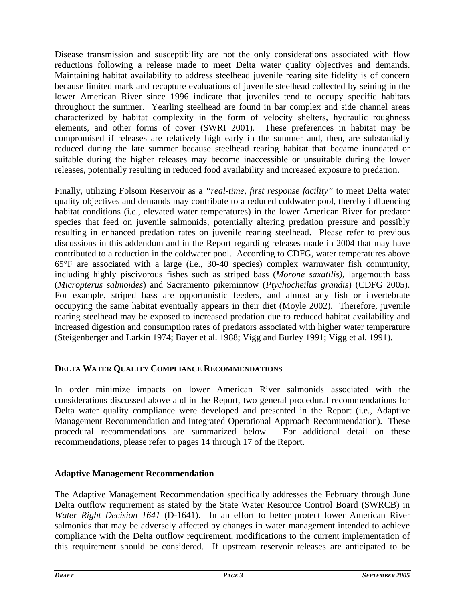Disease transmission and susceptibility are not the only considerations associated with flow reductions following a release made to meet Delta water quality objectives and demands. Maintaining habitat availability to address steelhead juvenile rearing site fidelity is of concern because limited mark and recapture evaluations of juvenile steelhead collected by seining in the lower American River since 1996 indicate that juveniles tend to occupy specific habitats throughout the summer. Yearling steelhead are found in bar complex and side channel areas characterized by habitat complexity in the form of velocity shelters, hydraulic roughness elements, and other forms of cover (SWRI 2001). These preferences in habitat may be compromised if releases are relatively high early in the summer and, then, are substantially reduced during the late summer because steelhead rearing habitat that became inundated or suitable during the higher releases may become inaccessible or unsuitable during the lower releases, potentially resulting in reduced food availability and increased exposure to predation.

Finally, utilizing Folsom Reservoir as a *"real-time, first response facility"* to meet Delta water quality objectives and demands may contribute to a reduced coldwater pool, thereby influencing habitat conditions (i.e., elevated water temperatures) in the lower American River for predator species that feed on juvenile salmonids, potentially altering predation pressure and possibly resulting in enhanced predation rates on juvenile rearing steelhead. Please refer to previous discussions in this addendum and in the Report regarding releases made in 2004 that may have contributed to a reduction in the coldwater pool. According to CDFG, water temperatures above 65°F are associated with a large (i.e., 30-40 species) complex warmwater fish community, including highly piscivorous fishes such as striped bass (*Morone saxatilis)*, largemouth bass (*Micropterus salmoides*) and Sacramento pikeminnow (*Ptychocheilus grandis*) (CDFG 2005). For example, striped bass are opportunistic feeders, and almost any fish or invertebrate occupying the same habitat eventually appears in their diet (Moyle 2002). Therefore, juvenile rearing steelhead may be exposed to increased predation due to reduced habitat availability and increased digestion and consumption rates of predators associated with higher water temperature (Steigenberger and Larkin 1974; Bayer et al. 1988; Vigg and Burley 1991; Vigg et al. 1991).

### **DELTA WATER QUALITY COMPLIANCE RECOMMENDATIONS**

In order minimize impacts on lower American River salmonids associated with the considerations discussed above and in the Report, two general procedural recommendations for Delta water quality compliance were developed and presented in the Report (i.e., Adaptive Management Recommendation and Integrated Operational Approach Recommendation). These procedural recommendations are summarized below. For additional detail on these recommendations, please refer to pages 14 through 17 of the Report.

### **Adaptive Management Recommendation**

The Adaptive Management Recommendation specifically addresses the February through June Delta outflow requirement as stated by the State Water Resource Control Board (SWRCB) in *Water Right Decision 1641* (D-1641). In an effort to better protect lower American River salmonids that may be adversely affected by changes in water management intended to achieve compliance with the Delta outflow requirement, modifications to the current implementation of this requirement should be considered. If upstream reservoir releases are anticipated to be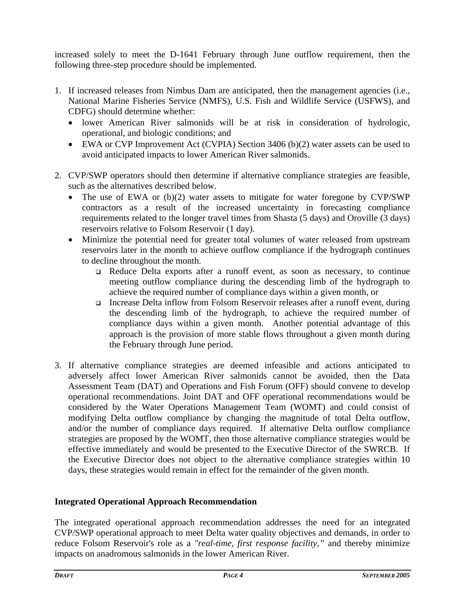increased solely to meet the D-1641 February through June outflow requirement, then the following three-step procedure should be implemented.

- 1. If increased releases from Nimbus Dam are anticipated, then the management agencies (i.e., National Marine Fisheries Service (NMFS), U.S. Fish and Wildlife Service (USFWS), and CDFG) should determine whether:
	- lower American River salmonids will be at risk in consideration of hydrologic, operational, and biologic conditions; and
	- EWA or CVP Improvement Act (CVPIA) Section 3406 (b)(2) water assets can be used to avoid anticipated impacts to lower American River salmonids.
- 2. CVP/SWP operators should then determine if alternative compliance strategies are feasible, such as the alternatives described below.
	- The use of EWA or (b)(2) water assets to mitigate for water foregone by CVP/SWP contractors as a result of the increased uncertainty in forecasting compliance requirements related to the longer travel times from Shasta (5 days) and Oroville (3 days) reservoirs relative to Folsom Reservoir (1 day).
	- Minimize the potential need for greater total volumes of water released from upstream reservoirs later in the month to achieve outflow compliance if the hydrograph continues to decline throughout the month.
		- Reduce Delta exports after a runoff event, as soon as necessary, to continue meeting outflow compliance during the descending limb of the hydrograph to achieve the required number of compliance days within a given month, or
		- Increase Delta inflow from Folsom Reservoir releases after a runoff event, during the descending limb of the hydrograph, to achieve the required number of compliance days within a given month. Another potential advantage of this approach is the provision of more stable flows throughout a given month during the February through June period.
- 3. If alternative compliance strategies are deemed infeasible and actions anticipated to adversely affect lower American River salmonids cannot be avoided, then the Data Assessment Team (DAT) and Operations and Fish Forum (OFF) should convene to develop operational recommendations. Joint DAT and OFF operational recommendations would be considered by the Water Operations Management Team (WOMT) and could consist of modifying Delta outflow compliance by changing the magnitude of total Delta outflow, and/or the number of compliance days required. If alternative Delta outflow compliance strategies are proposed by the WOMT, then those alternative compliance strategies would be effective immediately and would be presented to the Executive Director of the SWRCB. If the Executive Director does not object to the alternative compliance strategies within 10 days, these strategies would remain in effect for the remainder of the given month.

### **Integrated Operational Approach Recommendation**

The integrated operational approach recommendation addresses the need for an integrated CVP/SWP operational approach to meet Delta water quality objectives and demands, in order to reduce Folsom Reservoir's role as a *"real-time, first response facility,"* and thereby minimize impacts on anadromous salmonids in the lower American River.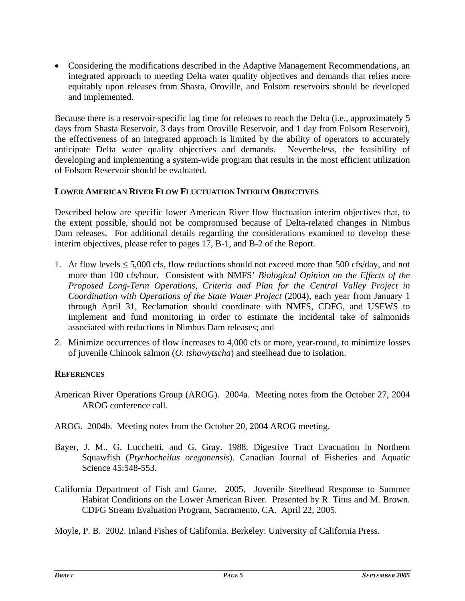• Considering the modifications described in the Adaptive Management Recommendations, an integrated approach to meeting Delta water quality objectives and demands that relies more equitably upon releases from Shasta, Oroville, and Folsom reservoirs should be developed and implemented.

Because there is a reservoir-specific lag time for releases to reach the Delta (i.e., approximately 5 days from Shasta Reservoir, 3 days from Oroville Reservoir, and 1 day from Folsom Reservoir), the effectiveness of an integrated approach is limited by the ability of operators to accurately anticipate Delta water quality objectives and demands. Nevertheless, the feasibility of developing and implementing a system-wide program that results in the most efficient utilization of Folsom Reservoir should be evaluated.

### **LOWER AMERICAN RIVER FLOW FLUCTUATION INTERIM OBJECTIVES**

Described below are specific lower American River flow fluctuation interim objectives that, to the extent possible, should not be compromised because of Delta-related changes in Nimbus Dam releases. For additional details regarding the considerations examined to develop these interim objectives, please refer to pages 17, B-1, and B-2 of the Report.

- 1. At flow levels  $\leq 5{,}000$  cfs, flow reductions should not exceed more than 500 cfs/day, and not more than 100 cfs/hour. Consistent with NMFS' *Biological Opinion on the Effects of the Proposed Long-Term Operations, Criteria and Plan for the Central Valley Project in Coordination with Operations of the State Water Project* (2004), each year from January 1 through April 31, Reclamation should coordinate with NMFS, CDFG, and USFWS to implement and fund monitoring in order to estimate the incidental take of salmonids associated with reductions in Nimbus Dam releases; and
- 2. Minimize occurrences of flow increases to 4,000 cfs or more, year-round, to minimize losses of juvenile Chinook salmon (*O. tshawytscha*) and steelhead due to isolation.

### **REFERENCES**

- American River Operations Group (AROG). 2004a. Meeting notes from the October 27, 2004 AROG conference call.
- AROG. 2004b. Meeting notes from the October 20, 2004 AROG meeting.
- Bayer, J. M., G. Lucchetti, and G. Gray. 1988. Digestive Tract Evacuation in Northern Squawfish (*Ptychocheilus oregonensis*). Canadian Journal of Fisheries and Aquatic Science 45:548-553.
- California Department of Fish and Game. 2005. Juvenile Steelhead Response to Summer Habitat Conditions on the Lower American River. Presented by R. Titus and M. Brown. CDFG Stream Evaluation Program, Sacramento, CA. April 22, 2005.

Moyle, P. B. 2002. Inland Fishes of California. Berkeley: University of California Press.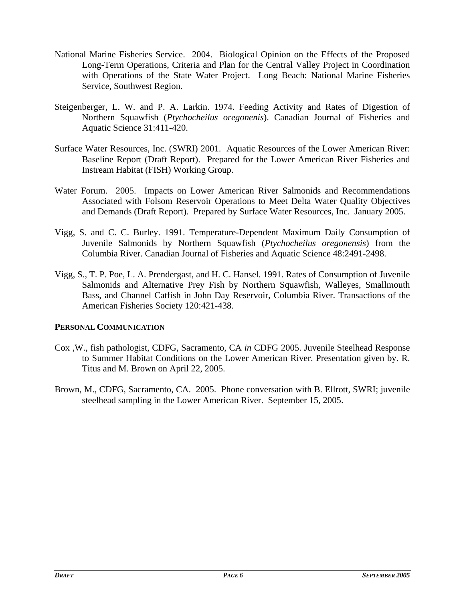- National Marine Fisheries Service. 2004. Biological Opinion on the Effects of the Proposed Long-Term Operations, Criteria and Plan for the Central Valley Project in Coordination with Operations of the State Water Project. Long Beach: National Marine Fisheries Service, Southwest Region.
- Steigenberger, L. W. and P. A. Larkin. 1974. Feeding Activity and Rates of Digestion of Northern Squawfish (*Ptychocheilus oregonenis*). Canadian Journal of Fisheries and Aquatic Science 31:411-420.
- Surface Water Resources, Inc. (SWRI) 2001. Aquatic Resources of the Lower American River: Baseline Report (Draft Report). Prepared for the Lower American River Fisheries and Instream Habitat (FISH) Working Group.
- Water Forum. 2005. Impacts on Lower American River Salmonids and Recommendations Associated with Folsom Reservoir Operations to Meet Delta Water Quality Objectives and Demands (Draft Report). Prepared by Surface Water Resources, Inc. January 2005.
- Vigg, S. and C. C. Burley. 1991. Temperature-Dependent Maximum Daily Consumption of Juvenile Salmonids by Northern Squawfish (*Ptychocheilus oregonensis*) from the Columbia River. Canadian Journal of Fisheries and Aquatic Science 48:2491-2498.
- Vigg, S., T. P. Poe, L. A. Prendergast, and H. C. Hansel. 1991. Rates of Consumption of Juvenile Salmonids and Alternative Prey Fish by Northern Squawfish, Walleyes, Smallmouth Bass, and Channel Catfish in John Day Reservoir, Columbia River. Transactions of the American Fisheries Society 120:421-438.

#### **PERSONAL COMMUNICATION**

- Cox ,W., fish pathologist, CDFG, Sacramento, CA *in* CDFG 2005. Juvenile Steelhead Response to Summer Habitat Conditions on the Lower American River. Presentation given by. R. Titus and M. Brown on April 22, 2005.
- Brown, M., CDFG, Sacramento, CA. 2005. Phone conversation with B. Ellrott, SWRI; juvenile steelhead sampling in the Lower American River. September 15, 2005.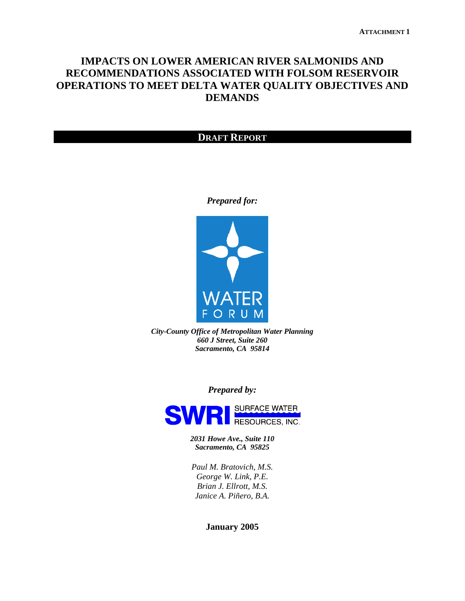### **IMPACTS ON LOWER AMERICAN RIVER SALMONIDS AND RECOMMENDATIONS ASSOCIATED WITH FOLSOM RESERVOIR OPERATIONS TO MEET DELTA WATER QUALITY OBJECTIVES AND DEMANDS**

#### **DRAFT REPORT**

#### *Prepared for:*



*City-County Office of Metropolitan Water Planning 660 J Street, Suite 260 Sacramento, CA 95814* 

*Prepared by:* 



*2031 Howe Ave., Suite 110 Sacramento, CA 95825*

*Paul M. Bratovich, M.S. George W. Link, P.E. Brian J. Ellrott, M.S. Janice A. Piñero, B.A.* 

**January 2005**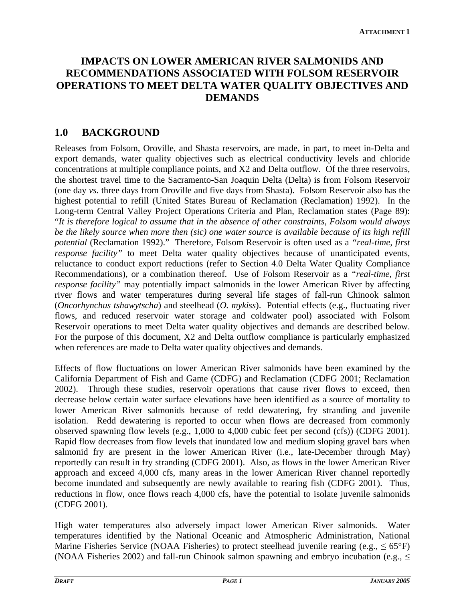# **IMPACTS ON LOWER AMERICAN RIVER SALMONIDS AND RECOMMENDATIONS ASSOCIATED WITH FOLSOM RESERVOIR OPERATIONS TO MEET DELTA WATER QUALITY OBJECTIVES AND DEMANDS**

## **1.0 BACKGROUND**

Releases from Folsom, Oroville, and Shasta reservoirs, are made, in part, to meet in-Delta and export demands, water quality objectives such as electrical conductivity levels and chloride concentrations at multiple compliance points, and X2 and Delta outflow. Of the three reservoirs, the shortest travel time to the Sacramento-San Joaquin Delta (Delta) is from Folsom Reservoir (one day *vs.* three days from Oroville and five days from Shasta). Folsom Reservoir also has the highest potential to refill (United States Bureau of Reclamation (Reclamation) 1992). In the Long-term Central Valley Project Operations Criteria and Plan, Reclamation states (Page 89): "*It is therefore logical to assume that in the absence of other constraints, Folsom would always be the likely source when more then (sic) one water source is available because of its high refill potential* (Reclamation 1992)." Therefore, Folsom Reservoir is often used as a *"real-time, first response facility*" to meet Delta water quality objectives because of unanticipated events, reluctance to conduct export reductions (refer to Section 4.0 Delta Water Quality Compliance Recommendations), or a combination thereof. Use of Folsom Reservoir as a *"real-time, first response facility*" may potentially impact salmonids in the lower American River by affecting river flows and water temperatures during several life stages of fall-run Chinook salmon (*Oncorhynchus tshawytscha*) and steelhead (*O. mykiss*). Potential effects (e.g., fluctuating river flows, and reduced reservoir water storage and coldwater pool) associated with Folsom Reservoir operations to meet Delta water quality objectives and demands are described below. For the purpose of this document, X2 and Delta outflow compliance is particularly emphasized when references are made to Delta water quality objectives and demands.

Effects of flow fluctuations on lower American River salmonids have been examined by the California Department of Fish and Game (CDFG) and Reclamation (CDFG 2001; Reclamation 2002). Through these studies, reservoir operations that cause river flows to exceed, then decrease below certain water surface elevations have been identified as a source of mortality to lower American River salmonids because of redd dewatering, fry stranding and juvenile isolation. Redd dewatering is reported to occur when flows are decreased from commonly observed spawning flow levels (e.g., 1,000 to 4,000 cubic feet per second (cfs)) (CDFG 2001). Rapid flow decreases from flow levels that inundated low and medium sloping gravel bars when salmonid fry are present in the lower American River (i.e., late-December through May) reportedly can result in fry stranding (CDFG 2001). Also, as flows in the lower American River approach and exceed 4,000 cfs, many areas in the lower American River channel reportedly become inundated and subsequently are newly available to rearing fish (CDFG 2001). Thus, reductions in flow, once flows reach 4,000 cfs, have the potential to isolate juvenile salmonids (CDFG 2001).

High water temperatures also adversely impact lower American River salmonids. Water temperatures identified by the National Oceanic and Atmospheric Administration, National Marine Fisheries Service (NOAA Fisheries) to protect steelhead juvenile rearing (e.g.,  $\leq 65^{\circ}$ F) (NOAA Fisheries 2002) and fall-run Chinook salmon spawning and embryo incubation (e.g., ≤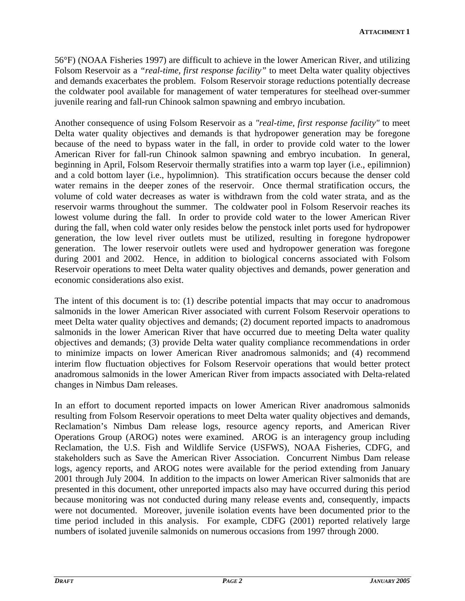56°F) (NOAA Fisheries 1997) are difficult to achieve in the lower American River, and utilizing Folsom Reservoir as a *"real-time, first response facility"* to meet Delta water quality objectives and demands exacerbates the problem. Folsom Reservoir storage reductions potentially decrease the coldwater pool available for management of water temperatures for steelhead over-summer juvenile rearing and fall-run Chinook salmon spawning and embryo incubation.

Another consequence of using Folsom Reservoir as a *"real-time, first response facility"* to meet Delta water quality objectives and demands is that hydropower generation may be foregone because of the need to bypass water in the fall, in order to provide cold water to the lower American River for fall-run Chinook salmon spawning and embryo incubation. In general, beginning in April, Folsom Reservoir thermally stratifies into a warm top layer (i.e., epilimnion) and a cold bottom layer (i.e., hypolimnion). This stratification occurs because the denser cold water remains in the deeper zones of the reservoir. Once thermal stratification occurs, the volume of cold water decreases as water is withdrawn from the cold water strata, and as the reservoir warms throughout the summer. The coldwater pool in Folsom Reservoir reaches its lowest volume during the fall. In order to provide cold water to the lower American River during the fall, when cold water only resides below the penstock inlet ports used for hydropower generation, the low level river outlets must be utilized, resulting in foregone hydropower generation. The lower reservoir outlets were used and hydropower generation was foregone during 2001 and 2002. Hence, in addition to biological concerns associated with Folsom Reservoir operations to meet Delta water quality objectives and demands, power generation and economic considerations also exist.

The intent of this document is to: (1) describe potential impacts that may occur to anadromous salmonids in the lower American River associated with current Folsom Reservoir operations to meet Delta water quality objectives and demands; (2) document reported impacts to anadromous salmonids in the lower American River that have occurred due to meeting Delta water quality objectives and demands; (3) provide Delta water quality compliance recommendations in order to minimize impacts on lower American River anadromous salmonids; and (4) recommend interim flow fluctuation objectives for Folsom Reservoir operations that would better protect anadromous salmonids in the lower American River from impacts associated with Delta-related changes in Nimbus Dam releases.

In an effort to document reported impacts on lower American River anadromous salmonids resulting from Folsom Reservoir operations to meet Delta water quality objectives and demands, Reclamation's Nimbus Dam release logs, resource agency reports, and American River Operations Group (AROG) notes were examined. AROG is an interagency group including Reclamation, the U.S. Fish and Wildlife Service (USFWS), NOAA Fisheries, CDFG, and stakeholders such as Save the American River Association. Concurrent Nimbus Dam release logs, agency reports, and AROG notes were available for the period extending from January 2001 through July 2004. In addition to the impacts on lower American River salmonids that are presented in this document, other unreported impacts also may have occurred during this period because monitoring was not conducted during many release events and, consequently, impacts were not documented. Moreover, juvenile isolation events have been documented prior to the time period included in this analysis. For example, CDFG (2001) reported relatively large numbers of isolated juvenile salmonids on numerous occasions from 1997 through 2000.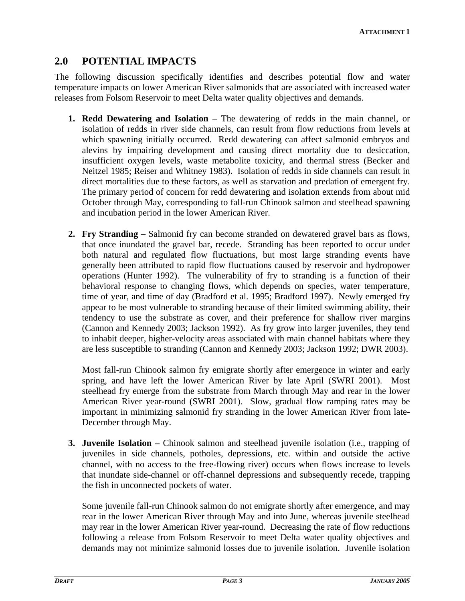## **2.0 POTENTIAL IMPACTS**

The following discussion specifically identifies and describes potential flow and water temperature impacts on lower American River salmonids that are associated with increased water releases from Folsom Reservoir to meet Delta water quality objectives and demands.

- **1. Redd Dewatering and Isolation**  The dewatering of redds in the main channel, or isolation of redds in river side channels, can result from flow reductions from levels at which spawning initially occurred. Redd dewatering can affect salmonid embryos and alevins by impairing development and causing direct mortality due to desiccation, insufficient oxygen levels, waste metabolite toxicity, and thermal stress (Becker and Neitzel 1985; Reiser and Whitney 1983). Isolation of redds in side channels can result in direct mortalities due to these factors, as well as starvation and predation of emergent fry. The primary period of concern for redd dewatering and isolation extends from about mid October through May, corresponding to fall-run Chinook salmon and steelhead spawning and incubation period in the lower American River.
- **2. Fry Stranding** Salmonid fry can become stranded on dewatered gravel bars as flows, that once inundated the gravel bar, recede. Stranding has been reported to occur under both natural and regulated flow fluctuations, but most large stranding events have generally been attributed to rapid flow fluctuations caused by reservoir and hydropower operations (Hunter 1992). The vulnerability of fry to stranding is a function of their behavioral response to changing flows, which depends on species, water temperature, time of year, and time of day (Bradford et al. 1995; Bradford 1997). Newly emerged fry appear to be most vulnerable to stranding because of their limited swimming ability, their tendency to use the substrate as cover, and their preference for shallow river margins (Cannon and Kennedy 2003; Jackson 1992). As fry grow into larger juveniles, they tend to inhabit deeper, higher-velocity areas associated with main channel habitats where they are less susceptible to stranding (Cannon and Kennedy 2003; Jackson 1992; DWR 2003).

Most fall-run Chinook salmon fry emigrate shortly after emergence in winter and early spring, and have left the lower American River by late April (SWRI 2001). Most steelhead fry emerge from the substrate from March through May and rear in the lower American River year-round (SWRI 2001). Slow, gradual flow ramping rates may be important in minimizing salmonid fry stranding in the lower American River from late-December through May.

**3. Juvenile Isolation –** Chinook salmon and steelhead juvenile isolation (i.e., trapping of juveniles in side channels, potholes, depressions, etc. within and outside the active channel, with no access to the free-flowing river) occurs when flows increase to levels that inundate side-channel or off-channel depressions and subsequently recede, trapping the fish in unconnected pockets of water.

Some juvenile fall-run Chinook salmon do not emigrate shortly after emergence, and may rear in the lower American River through May and into June, whereas juvenile steelhead may rear in the lower American River year-round. Decreasing the rate of flow reductions following a release from Folsom Reservoir to meet Delta water quality objectives and demands may not minimize salmonid losses due to juvenile isolation. Juvenile isolation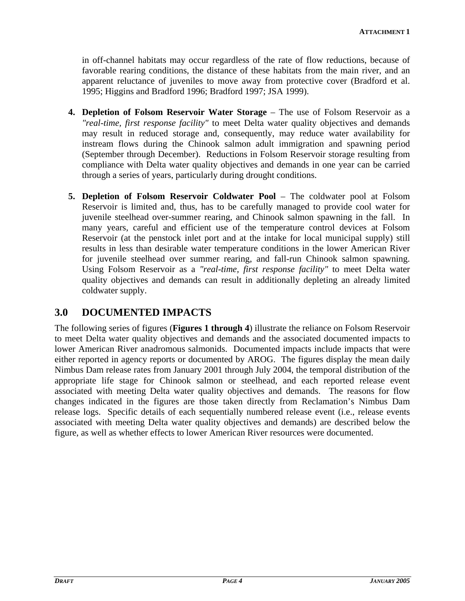in off-channel habitats may occur regardless of the rate of flow reductions, because of favorable rearing conditions, the distance of these habitats from the main river, and an apparent reluctance of juveniles to move away from protective cover (Bradford et al. 1995; Higgins and Bradford 1996; Bradford 1997; JSA 1999).

- **4. Depletion of Folsom Reservoir Water Storage** The use of Folsom Reservoir as a *"real-time, first response facility"* to meet Delta water quality objectives and demands may result in reduced storage and, consequently, may reduce water availability for instream flows during the Chinook salmon adult immigration and spawning period (September through December). Reductions in Folsom Reservoir storage resulting from compliance with Delta water quality objectives and demands in one year can be carried through a series of years, particularly during drought conditions.
- **5. Depletion of Folsom Reservoir Coldwater Pool The coldwater pool at Folsom** Reservoir is limited and, thus, has to be carefully managed to provide cool water for juvenile steelhead over-summer rearing, and Chinook salmon spawning in the fall. In many years, careful and efficient use of the temperature control devices at Folsom Reservoir (at the penstock inlet port and at the intake for local municipal supply) still results in less than desirable water temperature conditions in the lower American River for juvenile steelhead over summer rearing, and fall-run Chinook salmon spawning. Using Folsom Reservoir as a *"real-time, first response facility"* to meet Delta water quality objectives and demands can result in additionally depleting an already limited coldwater supply.

# **3.0 DOCUMENTED IMPACTS**

The following series of figures (**Figures 1 through 4**) illustrate the reliance on Folsom Reservoir to meet Delta water quality objectives and demands and the associated documented impacts to lower American River anadromous salmonids. Documented impacts include impacts that were either reported in agency reports or documented by AROG. The figures display the mean daily Nimbus Dam release rates from January 2001 through July 2004, the temporal distribution of the appropriate life stage for Chinook salmon or steelhead, and each reported release event associated with meeting Delta water quality objectives and demands. The reasons for flow changes indicated in the figures are those taken directly from Reclamation's Nimbus Dam release logs. Specific details of each sequentially numbered release event (i.e., release events associated with meeting Delta water quality objectives and demands) are described below the figure, as well as whether effects to lower American River resources were documented.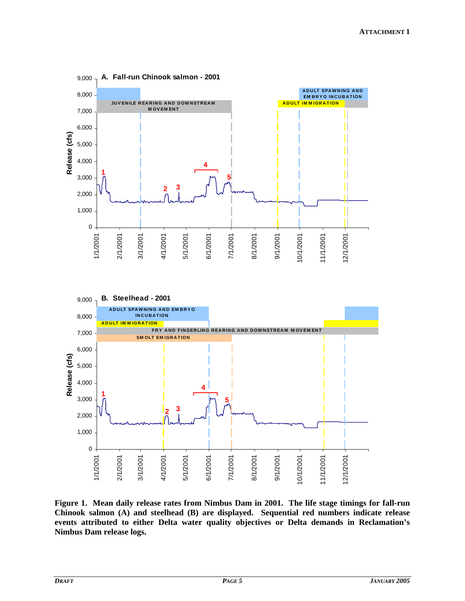

**Figure 1. Mean daily release rates from Nimbus Dam in 2001. The life stage timings for fall-run Chinook salmon (A) and steelhead (B) are displayed. Sequential red numbers indicate release events attributed to either Delta water quality objectives or Delta demands in Reclamation's Nimbus Dam release logs.**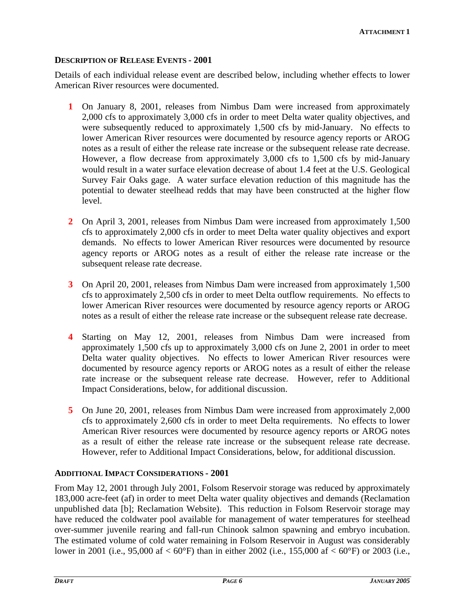#### **DESCRIPTION OF RELEASE EVENTS - 2001**

Details of each individual release event are described below, including whether effects to lower American River resources were documented.

- **1** On January 8, 2001, releases from Nimbus Dam were increased from approximately 2,000 cfs to approximately 3,000 cfs in order to meet Delta water quality objectives, and were subsequently reduced to approximately 1,500 cfs by mid-January. No effects to lower American River resources were documented by resource agency reports or AROG notes as a result of either the release rate increase or the subsequent release rate decrease. However, a flow decrease from approximately 3,000 cfs to 1,500 cfs by mid-January would result in a water surface elevation decrease of about 1.4 feet at the U.S. Geological Survey Fair Oaks gage. A water surface elevation reduction of this magnitude has the potential to dewater steelhead redds that may have been constructed at the higher flow level.
- **2** On April 3, 2001, releases from Nimbus Dam were increased from approximately 1,500 cfs to approximately 2,000 cfs in order to meet Delta water quality objectives and export demands. No effects to lower American River resources were documented by resource agency reports or AROG notes as a result of either the release rate increase or the subsequent release rate decrease.
- **3** On April 20, 2001, releases from Nimbus Dam were increased from approximately 1,500 cfs to approximately 2,500 cfs in order to meet Delta outflow requirements. No effects to lower American River resources were documented by resource agency reports or AROG notes as a result of either the release rate increase or the subsequent release rate decrease.
- **4** Starting on May 12, 2001, releases from Nimbus Dam were increased from approximately 1,500 cfs up to approximately 3,000 cfs on June 2, 2001 in order to meet Delta water quality objectives. No effects to lower American River resources were documented by resource agency reports or AROG notes as a result of either the release rate increase or the subsequent release rate decrease. However, refer to Additional Impact Considerations, below, for additional discussion.
- **5** On June 20, 2001, releases from Nimbus Dam were increased from approximately 2,000 cfs to approximately 2,600 cfs in order to meet Delta requirements. No effects to lower American River resources were documented by resource agency reports or AROG notes as a result of either the release rate increase or the subsequent release rate decrease. However, refer to Additional Impact Considerations, below, for additional discussion.

#### **ADDITIONAL IMPACT CONSIDERATIONS - 2001**

From May 12, 2001 through July 2001, Folsom Reservoir storage was reduced by approximately 183,000 acre-feet (af) in order to meet Delta water quality objectives and demands (Reclamation unpublished data [b]; Reclamation Website). This reduction in Folsom Reservoir storage may have reduced the coldwater pool available for management of water temperatures for steelhead over-summer juvenile rearing and fall-run Chinook salmon spawning and embryo incubation. The estimated volume of cold water remaining in Folsom Reservoir in August was considerably lower in 2001 (i.e., 95,000 af < 60°F) than in either 2002 (i.e., 155,000 af < 60°F) or 2003 (i.e.,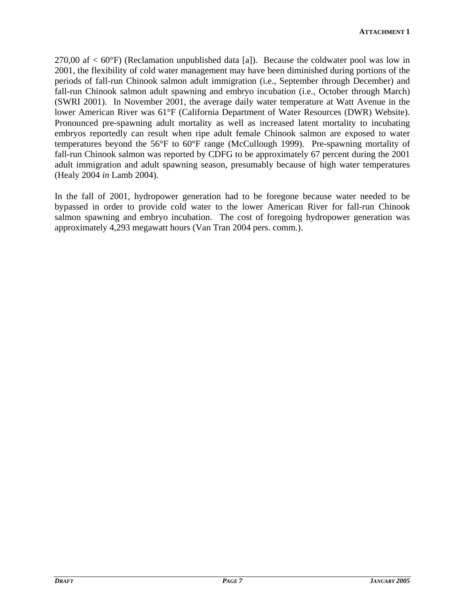270,00 af  $< 60^{\circ}$ F) (Reclamation unpublished data [a]). Because the coldwater pool was low in 2001, the flexibility of cold water management may have been diminished during portions of the periods of fall-run Chinook salmon adult immigration (i.e., September through December) and fall-run Chinook salmon adult spawning and embryo incubation (i.e., October through March) (SWRI 2001). In November 2001, the average daily water temperature at Watt Avenue in the lower American River was 61°F (California Department of Water Resources (DWR) Website). Pronounced pre-spawning adult mortality as well as increased latent mortality to incubating embryos reportedly can result when ripe adult female Chinook salmon are exposed to water temperatures beyond the 56°F to 60°F range (McCullough 1999). Pre-spawning mortality of fall-run Chinook salmon was reported by CDFG to be approximately 67 percent during the 2001 adult immigration and adult spawning season, presumably because of high water temperatures (Healy 2004 *in* Lamb 2004).

In the fall of 2001, hydropower generation had to be foregone because water needed to be bypassed in order to provide cold water to the lower American River for fall-run Chinook salmon spawning and embryo incubation. The cost of foregoing hydropower generation was approximately 4,293 megawatt hours (Van Tran 2004 pers. comm.).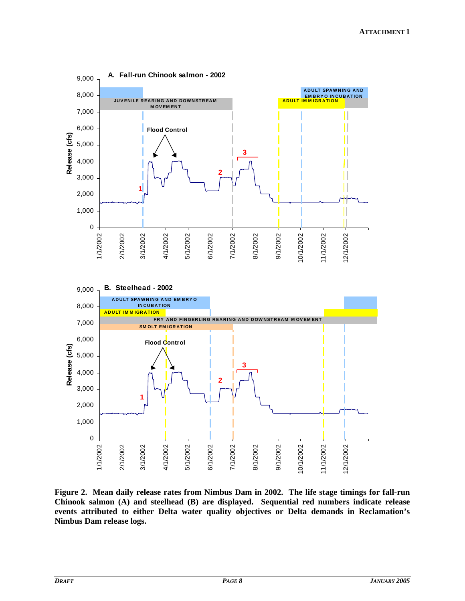

**Figure 2. Mean daily release rates from Nimbus Dam in 2002. The life stage timings for fall-run Chinook salmon (A) and steelhead (B) are displayed. Sequential red numbers indicate release events attributed to either Delta water quality objectives or Delta demands in Reclamation's Nimbus Dam release logs.**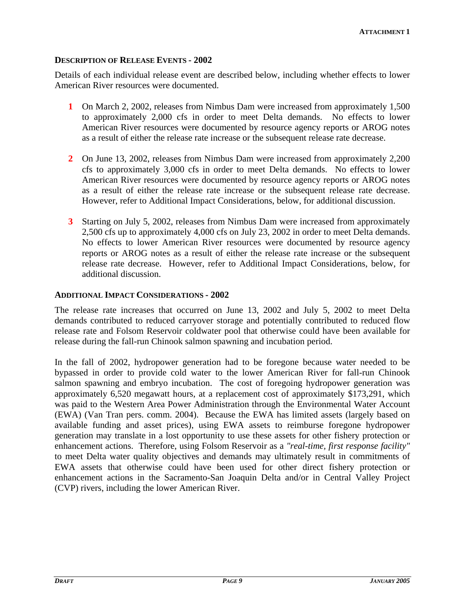#### **DESCRIPTION OF RELEASE EVENTS - 2002**

Details of each individual release event are described below, including whether effects to lower American River resources were documented.

- **1** On March 2, 2002, releases from Nimbus Dam were increased from approximately 1,500 to approximately 2,000 cfs in order to meet Delta demands. No effects to lower American River resources were documented by resource agency reports or AROG notes as a result of either the release rate increase or the subsequent release rate decrease.
- **2** On June 13, 2002, releases from Nimbus Dam were increased from approximately 2,200 cfs to approximately 3,000 cfs in order to meet Delta demands. No effects to lower American River resources were documented by resource agency reports or AROG notes as a result of either the release rate increase or the subsequent release rate decrease. However, refer to Additional Impact Considerations, below, for additional discussion.
- **3** Starting on July 5, 2002, releases from Nimbus Dam were increased from approximately 2,500 cfs up to approximately 4,000 cfs on July 23, 2002 in order to meet Delta demands. No effects to lower American River resources were documented by resource agency reports or AROG notes as a result of either the release rate increase or the subsequent release rate decrease. However, refer to Additional Impact Considerations, below, for additional discussion.

#### **ADDITIONAL IMPACT CONSIDERATIONS - 2002**

The release rate increases that occurred on June 13, 2002 and July 5, 2002 to meet Delta demands contributed to reduced carryover storage and potentially contributed to reduced flow release rate and Folsom Reservoir coldwater pool that otherwise could have been available for release during the fall-run Chinook salmon spawning and incubation period.

In the fall of 2002, hydropower generation had to be foregone because water needed to be bypassed in order to provide cold water to the lower American River for fall-run Chinook salmon spawning and embryo incubation. The cost of foregoing hydropower generation was approximately 6,520 megawatt hours, at a replacement cost of approximately \$173,291, which was paid to the Western Area Power Administration through the Environmental Water Account (EWA) (Van Tran pers. comm. 2004). Because the EWA has limited assets (largely based on available funding and asset prices), using EWA assets to reimburse foregone hydropower generation may translate in a lost opportunity to use these assets for other fishery protection or enhancement actions. Therefore, using Folsom Reservoir as a *"real-time, first response facility"*  to meet Delta water quality objectives and demands may ultimately result in commitments of EWA assets that otherwise could have been used for other direct fishery protection or enhancement actions in the Sacramento-San Joaquin Delta and/or in Central Valley Project (CVP) rivers, including the lower American River.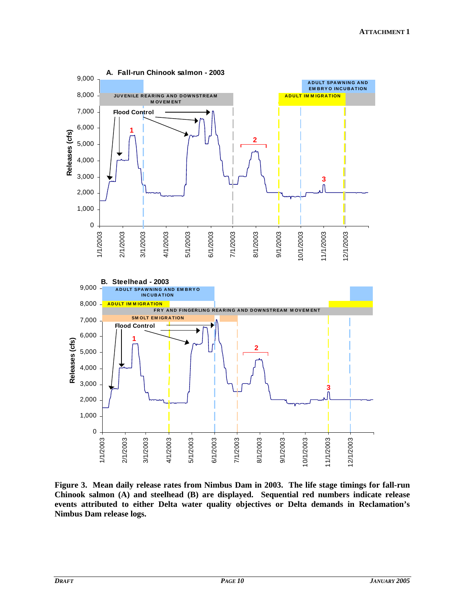

**Figure 3. Mean daily release rates from Nimbus Dam in 2003. The life stage timings for fall-run Chinook salmon (A) and steelhead (B) are displayed. Sequential red numbers indicate release events attributed to either Delta water quality objectives or Delta demands in Reclamation's Nimbus Dam release logs.**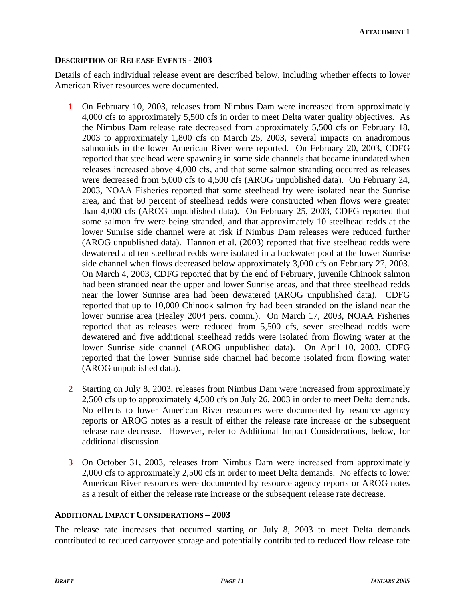### **DESCRIPTION OF RELEASE EVENTS - 2003**

Details of each individual release event are described below, including whether effects to lower American River resources were documented.

- **1** On February 10, 2003, releases from Nimbus Dam were increased from approximately 4,000 cfs to approximately 5,500 cfs in order to meet Delta water quality objectives. As the Nimbus Dam release rate decreased from approximately 5,500 cfs on February 18, 2003 to approximately 1,800 cfs on March 25, 2003, several impacts on anadromous salmonids in the lower American River were reported. On February 20, 2003, CDFG reported that steelhead were spawning in some side channels that became inundated when releases increased above 4,000 cfs, and that some salmon stranding occurred as releases were decreased from 5,000 cfs to 4,500 cfs (AROG unpublished data). On February 24, 2003, NOAA Fisheries reported that some steelhead fry were isolated near the Sunrise area, and that 60 percent of steelhead redds were constructed when flows were greater than 4,000 cfs (AROG unpublished data). On February 25, 2003, CDFG reported that some salmon fry were being stranded, and that approximately 10 steelhead redds at the lower Sunrise side channel were at risk if Nimbus Dam releases were reduced further (AROG unpublished data). Hannon et al. (2003) reported that five steelhead redds were dewatered and ten steelhead redds were isolated in a backwater pool at the lower Sunrise side channel when flows decreased below approximately 3,000 cfs on February 27, 2003. On March 4, 2003, CDFG reported that by the end of February, juvenile Chinook salmon had been stranded near the upper and lower Sunrise areas, and that three steelhead redds near the lower Sunrise area had been dewatered (AROG unpublished data). CDFG reported that up to 10,000 Chinook salmon fry had been stranded on the island near the lower Sunrise area (Healey 2004 pers. comm.). On March 17, 2003, NOAA Fisheries reported that as releases were reduced from 5,500 cfs, seven steelhead redds were dewatered and five additional steelhead redds were isolated from flowing water at the lower Sunrise side channel (AROG unpublished data). On April 10, 2003, CDFG reported that the lower Sunrise side channel had become isolated from flowing water (AROG unpublished data).
- **2** Starting on July 8, 2003, releases from Nimbus Dam were increased from approximately 2,500 cfs up to approximately 4,500 cfs on July 26, 2003 in order to meet Delta demands. No effects to lower American River resources were documented by resource agency reports or AROG notes as a result of either the release rate increase or the subsequent release rate decrease. However, refer to Additional Impact Considerations, below, for additional discussion.
- **3** On October 31, 2003, releases from Nimbus Dam were increased from approximately 2,000 cfs to approximately 2,500 cfs in order to meet Delta demands. No effects to lower American River resources were documented by resource agency reports or AROG notes as a result of either the release rate increase or the subsequent release rate decrease.

### **ADDITIONAL IMPACT CONSIDERATIONS – 2003**

The release rate increases that occurred starting on July 8, 2003 to meet Delta demands contributed to reduced carryover storage and potentially contributed to reduced flow release rate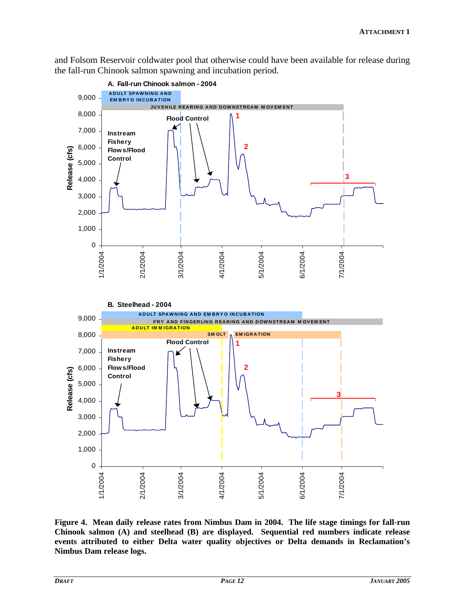and Folsom Reservoir coldwater pool that otherwise could have been available for release during the fall-run Chinook salmon spawning and incubation period.



**Figure 4. Mean daily release rates from Nimbus Dam in 2004. The life stage timings for fall-run Chinook salmon (A) and steelhead (B) are displayed. Sequential red numbers indicate release events attributed to either Delta water quality objectives or Delta demands in Reclamation's Nimbus Dam release logs.**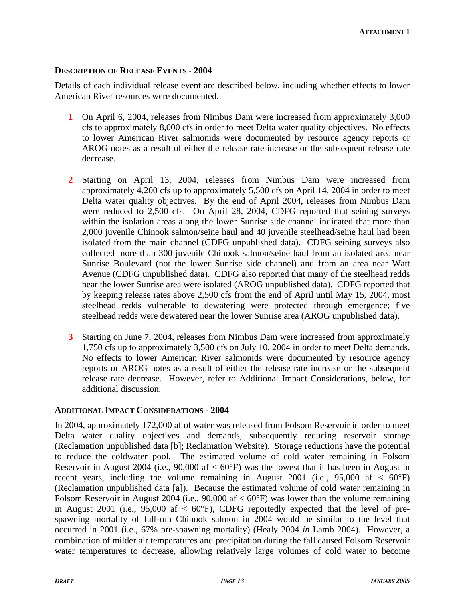#### **DESCRIPTION OF RELEASE EVENTS - 2004**

Details of each individual release event are described below, including whether effects to lower American River resources were documented.

- **1** On April 6, 2004, releases from Nimbus Dam were increased from approximately 3,000 cfs to approximately 8,000 cfs in order to meet Delta water quality objectives. No effects to lower American River salmonids were documented by resource agency reports or AROG notes as a result of either the release rate increase or the subsequent release rate decrease.
- **2** Starting on April 13, 2004, releases from Nimbus Dam were increased from approximately 4,200 cfs up to approximately 5,500 cfs on April 14, 2004 in order to meet Delta water quality objectives. By the end of April 2004, releases from Nimbus Dam were reduced to 2,500 cfs. On April 28, 2004, CDFG reported that seining surveys within the isolation areas along the lower Sunrise side channel indicated that more than 2,000 juvenile Chinook salmon/seine haul and 40 juvenile steelhead/seine haul had been isolated from the main channel (CDFG unpublished data). CDFG seining surveys also collected more than 300 juvenile Chinook salmon/seine haul from an isolated area near Sunrise Boulevard (not the lower Sunrise side channel) and from an area near Watt Avenue (CDFG unpublished data). CDFG also reported that many of the steelhead redds near the lower Sunrise area were isolated (AROG unpublished data). CDFG reported that by keeping release rates above 2,500 cfs from the end of April until May 15, 2004, most steelhead redds vulnerable to dewatering were protected through emergence; five steelhead redds were dewatered near the lower Sunrise area (AROG unpublished data).
- **3** Starting on June 7, 2004, releases from Nimbus Dam were increased from approximately 1,750 cfs up to approximately 3,500 cfs on July 10, 2004 in order to meet Delta demands. No effects to lower American River salmonids were documented by resource agency reports or AROG notes as a result of either the release rate increase or the subsequent release rate decrease. However, refer to Additional Impact Considerations, below, for additional discussion.

#### **ADDITIONAL IMPACT CONSIDERATIONS - 2004**

In 2004, approximately 172,000 af of water was released from Folsom Reservoir in order to meet Delta water quality objectives and demands, subsequently reducing reservoir storage (Reclamation unpublished data [b]; Reclamation Website). Storage reductions have the potential to reduce the coldwater pool. The estimated volume of cold water remaining in Folsom Reservoir in August 2004 (i.e., 90,000 af  $< 60^{\circ}$ F) was the lowest that it has been in August in recent years, including the volume remaining in August 2001 (i.e.,  $95,000$  af  $\langle 60^\circ F \rangle$ ) (Reclamation unpublished data [a]). Because the estimated volume of cold water remaining in Folsom Reservoir in August 2004 (i.e., 90,000 af  $< 60^{\circ}$ F) was lower than the volume remaining in August 2001 (i.e., 95,000 af  $\langle 60^\circ F \rangle$ , CDFG reportedly expected that the level of prespawning mortality of fall-run Chinook salmon in 2004 would be similar to the level that occurred in 2001 (i.e., 67% pre-spawning mortality) (Healy 2004 *in* Lamb 2004). However, a combination of milder air temperatures and precipitation during the fall caused Folsom Reservoir water temperatures to decrease, allowing relatively large volumes of cold water to become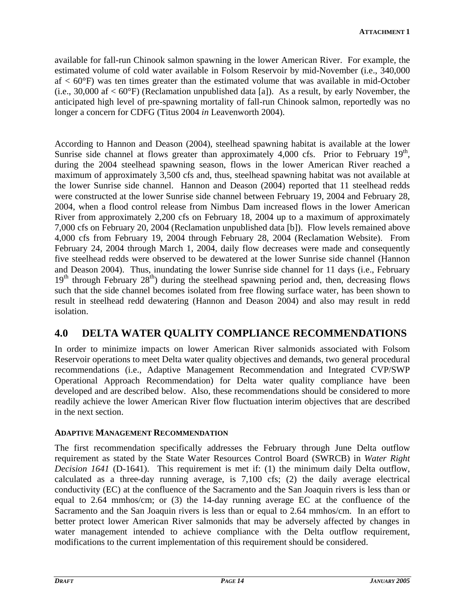available for fall-run Chinook salmon spawning in the lower American River. For example, the estimated volume of cold water available in Folsom Reservoir by mid-November (i.e., 340,000  $af < 60^{\circ}$ F) was ten times greater than the estimated volume that was available in mid-October (i.e., 30,000 af  $< 60^{\circ}$ F) (Reclamation unpublished data [a]). As a result, by early November, the anticipated high level of pre-spawning mortality of fall-run Chinook salmon, reportedly was no longer a concern for CDFG (Titus 2004 *in* Leavenworth 2004).

According to Hannon and Deason (2004), steelhead spawning habitat is available at the lower Sunrise side channel at flows greater than approximately 4,000 cfs. Prior to February  $19<sup>th</sup>$ , during the 2004 steelhead spawning season, flows in the lower American River reached a maximum of approximately 3,500 cfs and, thus, steelhead spawning habitat was not available at the lower Sunrise side channel. Hannon and Deason (2004) reported that 11 steelhead redds were constructed at the lower Sunrise side channel between February 19, 2004 and February 28, 2004, when a flood control release from Nimbus Dam increased flows in the lower American River from approximately 2,200 cfs on February 18, 2004 up to a maximum of approximately 7,000 cfs on February 20, 2004 (Reclamation unpublished data [b]). Flow levels remained above 4,000 cfs from February 19, 2004 through February 28, 2004 (Reclamation Website). From February 24, 2004 through March 1, 2004, daily flow decreases were made and consequently five steelhead redds were observed to be dewatered at the lower Sunrise side channel (Hannon and Deason 2004). Thus, inundating the lower Sunrise side channel for 11 days (i.e., February  $19<sup>th</sup>$  through February  $28<sup>th</sup>$ ) during the steelhead spawning period and, then, decreasing flows such that the side channel becomes isolated from free flowing surface water, has been shown to result in steelhead redd dewatering (Hannon and Deason 2004) and also may result in redd isolation.

# **4.0 DELTA WATER QUALITY COMPLIANCE RECOMMENDATIONS**

In order to minimize impacts on lower American River salmonids associated with Folsom Reservoir operations to meet Delta water quality objectives and demands, two general procedural recommendations (i.e., Adaptive Management Recommendation and Integrated CVP/SWP Operational Approach Recommendation) for Delta water quality compliance have been developed and are described below. Also, these recommendations should be considered to more readily achieve the lower American River flow fluctuation interim objectives that are described in the next section.

### **ADAPTIVE MANAGEMENT RECOMMENDATION**

The first recommendation specifically addresses the February through June Delta outflow requirement as stated by the State Water Resources Control Board (SWRCB) in *Water Right Decision 1641* (D-1641). This requirement is met if: (1) the minimum daily Delta outflow, calculated as a three-day running average, is 7,100 cfs; (2) the daily average electrical conductivity (EC) at the confluence of the Sacramento and the San Joaquin rivers is less than or equal to 2.64 mmhos/cm; or (3) the 14-day running average EC at the confluence of the Sacramento and the San Joaquin rivers is less than or equal to 2.64 mmhos/cm. In an effort to better protect lower American River salmonids that may be adversely affected by changes in water management intended to achieve compliance with the Delta outflow requirement, modifications to the current implementation of this requirement should be considered.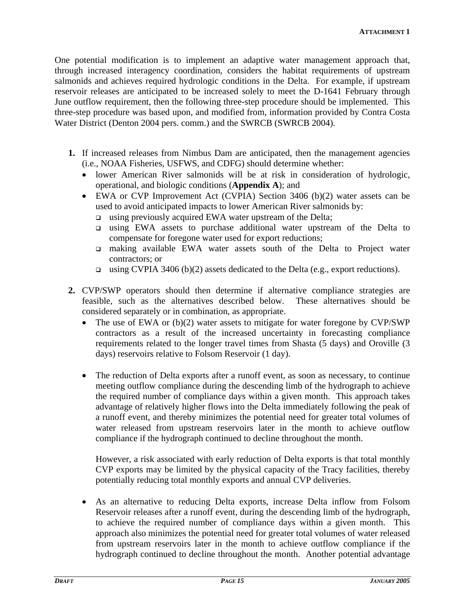One potential modification is to implement an adaptive water management approach that, through increased interagency coordination, considers the habitat requirements of upstream salmonids and achieves required hydrologic conditions in the Delta. For example, if upstream reservoir releases are anticipated to be increased solely to meet the D-1641 February through June outflow requirement, then the following three-step procedure should be implemented. This three-step procedure was based upon, and modified from, information provided by Contra Costa Water District (Denton 2004 pers. comm.) and the SWRCB (SWRCB 2004).

- **1.** If increased releases from Nimbus Dam are anticipated, then the management agencies (i.e., NOAA Fisheries, USFWS, and CDFG) should determine whether:
	- lower American River salmonids will be at risk in consideration of hydrologic, operational, and biologic conditions (**Appendix A**); and
	- EWA or CVP Improvement Act (CVPIA) Section 3406 (b)(2) water assets can be used to avoid anticipated impacts to lower American River salmonids by:
		- using previously acquired EWA water upstream of the Delta;
		- using EWA assets to purchase additional water upstream of the Delta to compensate for foregone water used for export reductions;
		- making available EWA water assets south of the Delta to Project water contractors; or
		- using CVPIA 3406 (b)(2) assets dedicated to the Delta (e.g., export reductions).
- **2.** CVP/SWP operators should then determine if alternative compliance strategies are feasible, such as the alternatives described below. These alternatives should be considered separately or in combination, as appropriate.
	- The use of EWA or (b)(2) water assets to mitigate for water foregone by CVP/SWP contractors as a result of the increased uncertainty in forecasting compliance requirements related to the longer travel times from Shasta (5 days) and Oroville (3 days) reservoirs relative to Folsom Reservoir (1 day).
	- The reduction of Delta exports after a runoff event, as soon as necessary, to continue meeting outflow compliance during the descending limb of the hydrograph to achieve the required number of compliance days within a given month. This approach takes advantage of relatively higher flows into the Delta immediately following the peak of a runoff event, and thereby minimizes the potential need for greater total volumes of water released from upstream reservoirs later in the month to achieve outflow compliance if the hydrograph continued to decline throughout the month.

However, a risk associated with early reduction of Delta exports is that total monthly CVP exports may be limited by the physical capacity of the Tracy facilities, thereby potentially reducing total monthly exports and annual CVP deliveries.

• As an alternative to reducing Delta exports, increase Delta inflow from Folsom Reservoir releases after a runoff event, during the descending limb of the hydrograph, to achieve the required number of compliance days within a given month. This approach also minimizes the potential need for greater total volumes of water released from upstream reservoirs later in the month to achieve outflow compliance if the hydrograph continued to decline throughout the month. Another potential advantage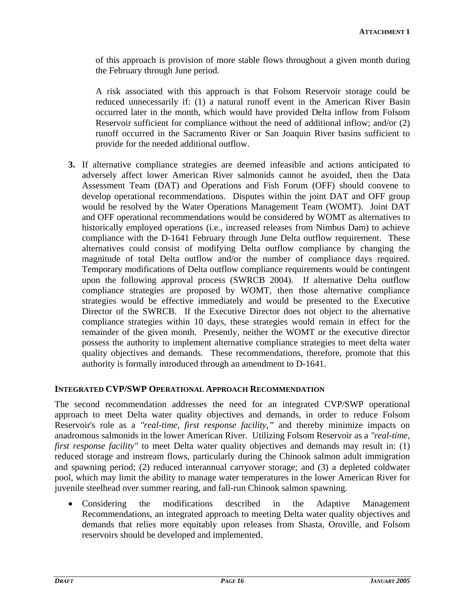of this approach is provision of more stable flows throughout a given month during the February through June period.

A risk associated with this approach is that Folsom Reservoir storage could be reduced unnecessarily if: (1) a natural runoff event in the American River Basin occurred later in the month, which would have provided Delta inflow from Folsom Reservoir sufficient for compliance without the need of additional inflow; and/or (2) runoff occurred in the Sacramento River or San Joaquin River basins sufficient to provide for the needed additional outflow.

**3.** If alternative compliance strategies are deemed infeasible and actions anticipated to adversely affect lower American River salmonids cannot be avoided, then the Data Assessment Team (DAT) and Operations and Fish Forum (OFF) should convene to develop operational recommendations. Disputes within the joint DAT and OFF group would be resolved by the Water Operations Management Team (WOMT). Joint DAT and OFF operational recommendations would be considered by WOMT as alternatives to historically employed operations (i.e., increased releases from Nimbus Dam) to achieve compliance with the D-1641 February through June Delta outflow requirement. These alternatives could consist of modifying Delta outflow compliance by changing the magnitude of total Delta outflow and/or the number of compliance days required. Temporary modifications of Delta outflow compliance requirements would be contingent upon the following approval process (SWRCB 2004). If alternative Delta outflow compliance strategies are proposed by WOMT, then those alternative compliance strategies would be effective immediately and would be presented to the Executive Director of the SWRCB. If the Executive Director does not object to the alternative compliance strategies within 10 days, these strategies would remain in effect for the remainder of the given month. Presently, neither the WOMT or the executive director possess the authority to implement alternative compliance strategies to meet delta water quality objectives and demands. These recommendations, therefore, promote that this authority is formally introduced through an amendment to D-1641.

### **INTEGRATED CVP/SWP OPERATIONAL APPROACH RECOMMENDATION**

The second recommendation addresses the need for an integrated CVP/SWP operational approach to meet Delta water quality objectives and demands, in order to reduce Folsom Reservoir's role as a *"real-time, first response facility,"* and thereby minimize impacts on anadromous salmonids in the lower American River. Utilizing Folsom Reservoir as a *"real-time, first response facility*" to meet Delta water quality objectives and demands may result in: (1) reduced storage and instream flows, particularly during the Chinook salmon adult immigration and spawning period; (2) reduced interannual carryover storage; and (3) a depleted coldwater pool, which may limit the ability to manage water temperatures in the lower American River for juvenile steelhead over summer rearing, and fall-run Chinook salmon spawning.

• Considering the modifications described in the Adaptive Management Recommendations, an integrated approach to meeting Delta water quality objectives and demands that relies more equitably upon releases from Shasta, Oroville, and Folsom reservoirs should be developed and implemented.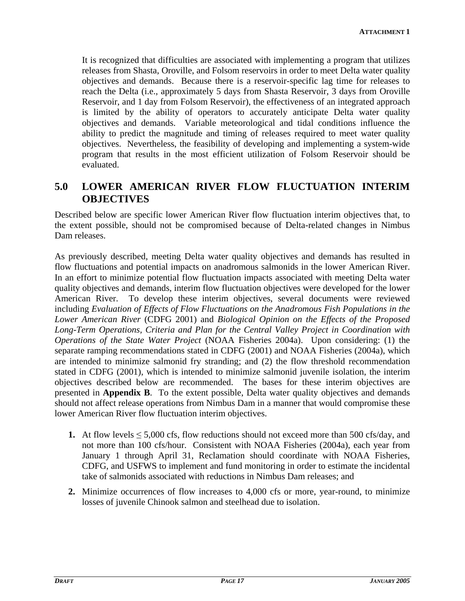It is recognized that difficulties are associated with implementing a program that utilizes releases from Shasta, Oroville, and Folsom reservoirs in order to meet Delta water quality objectives and demands. Because there is a reservoir-specific lag time for releases to reach the Delta (i.e., approximately 5 days from Shasta Reservoir, 3 days from Oroville Reservoir, and 1 day from Folsom Reservoir), the effectiveness of an integrated approach is limited by the ability of operators to accurately anticipate Delta water quality objectives and demands. Variable meteorological and tidal conditions influence the ability to predict the magnitude and timing of releases required to meet water quality objectives. Nevertheless, the feasibility of developing and implementing a system-wide program that results in the most efficient utilization of Folsom Reservoir should be evaluated.

# **5.0 LOWER AMERICAN RIVER FLOW FLUCTUATION INTERIM OBJECTIVES**

Described below are specific lower American River flow fluctuation interim objectives that, to the extent possible, should not be compromised because of Delta-related changes in Nimbus Dam releases.

As previously described, meeting Delta water quality objectives and demands has resulted in flow fluctuations and potential impacts on anadromous salmonids in the lower American River. In an effort to minimize potential flow fluctuation impacts associated with meeting Delta water quality objectives and demands, interim flow fluctuation objectives were developed for the lower American River. To develop these interim objectives, several documents were reviewed including *Evaluation of Effects of Flow Fluctuations on the Anadromous Fish Populations in the Lower American River* (CDFG 2001) and *Biological Opinion on the Effects of the Proposed Long-Term Operations, Criteria and Plan for the Central Valley Project in Coordination with Operations of the State Water Project* (NOAA Fisheries 2004a). Upon considering: (1) the separate ramping recommendations stated in CDFG (2001) and NOAA Fisheries (2004a), which are intended to minimize salmonid fry stranding; and (2) the flow threshold recommendation stated in CDFG (2001), which is intended to minimize salmonid juvenile isolation, the interim objectives described below are recommended. The bases for these interim objectives are presented in **Appendix B**. To the extent possible, Delta water quality objectives and demands should not affect release operations from Nimbus Dam in a manner that would compromise these lower American River flow fluctuation interim objectives.

- **1.** At flow levels  $\leq 5,000$  cfs, flow reductions should not exceed more than 500 cfs/day, and not more than 100 cfs/hour. Consistent with NOAA Fisheries (2004a), each year from January 1 through April 31, Reclamation should coordinate with NOAA Fisheries, CDFG, and USFWS to implement and fund monitoring in order to estimate the incidental take of salmonids associated with reductions in Nimbus Dam releases; and
- **2.** Minimize occurrences of flow increases to 4,000 cfs or more, year-round, to minimize losses of juvenile Chinook salmon and steelhead due to isolation.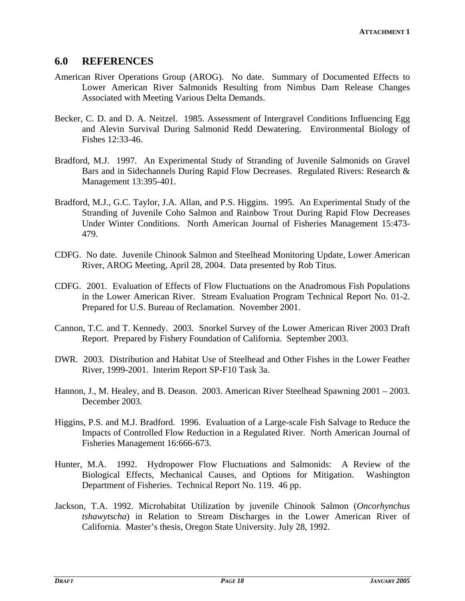### **6.0 REFERENCES**

- American River Operations Group (AROG). No date. Summary of Documented Effects to Lower American River Salmonids Resulting from Nimbus Dam Release Changes Associated with Meeting Various Delta Demands.
- Becker, C. D. and D. A. Neitzel. 1985. Assessment of Intergravel Conditions Influencing Egg and Alevin Survival During Salmonid Redd Dewatering. Environmental Biology of Fishes 12:33-46.
- Bradford, M.J. 1997. An Experimental Study of Stranding of Juvenile Salmonids on Gravel Bars and in Sidechannels During Rapid Flow Decreases. Regulated Rivers: Research & Management 13:395-401.
- Bradford, M.J., G.C. Taylor, J.A. Allan, and P.S. Higgins. 1995. An Experimental Study of the Stranding of Juvenile Coho Salmon and Rainbow Trout During Rapid Flow Decreases Under Winter Conditions. North American Journal of Fisheries Management 15:473- 479.
- CDFG. No date. Juvenile Chinook Salmon and Steelhead Monitoring Update, Lower American River, AROG Meeting, April 28, 2004. Data presented by Rob Titus.
- CDFG. 2001. Evaluation of Effects of Flow Fluctuations on the Anadromous Fish Populations in the Lower American River. Stream Evaluation Program Technical Report No. 01-2. Prepared for U.S. Bureau of Reclamation. November 2001.
- Cannon, T.C. and T. Kennedy. 2003. Snorkel Survey of the Lower American River 2003 Draft Report. Prepared by Fishery Foundation of California. September 2003.
- DWR. 2003. Distribution and Habitat Use of Steelhead and Other Fishes in the Lower Feather River, 1999-2001. Interim Report SP-F10 Task 3a.
- Hannon, J., M. Healey, and B. Deason. 2003. American River Steelhead Spawning 2001 2003. December 2003.
- Higgins, P.S. and M.J. Bradford. 1996. Evaluation of a Large-scale Fish Salvage to Reduce the Impacts of Controlled Flow Reduction in a Regulated River. North American Journal of Fisheries Management 16:666-673.
- Hunter, M.A. 1992. Hydropower Flow Fluctuations and Salmonids: A Review of the Biological Effects, Mechanical Causes, and Options for Mitigation. Washington Department of Fisheries. Technical Report No. 119. 46 pp.
- Jackson, T.A. 1992. Microhabitat Utilization by juvenile Chinook Salmon (*Oncorhynchus tshawytscha*) in Relation to Stream Discharges in the Lower American River of California. Master's thesis, Oregon State University. July 28, 1992.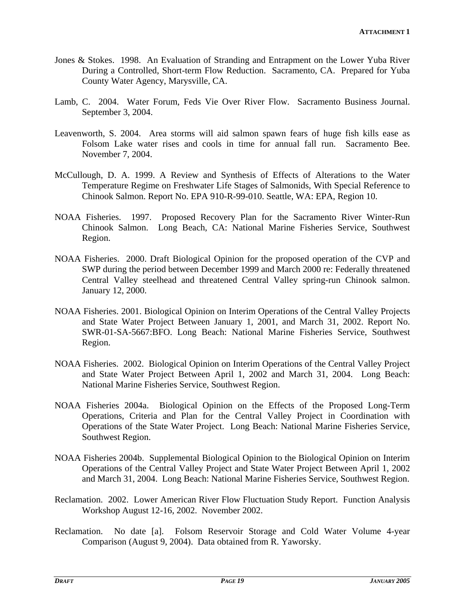- Jones & Stokes. 1998. An Evaluation of Stranding and Entrapment on the Lower Yuba River During a Controlled, Short-term Flow Reduction. Sacramento, CA. Prepared for Yuba County Water Agency, Marysville, CA.
- Lamb, C. 2004. Water Forum, Feds Vie Over River Flow. Sacramento Business Journal. September 3, 2004.
- Leavenworth, S. 2004. Area storms will aid salmon spawn fears of huge fish kills ease as Folsom Lake water rises and cools in time for annual fall run. Sacramento Bee. November 7, 2004.
- McCullough, D. A. 1999. A Review and Synthesis of Effects of Alterations to the Water Temperature Regime on Freshwater Life Stages of Salmonids, With Special Reference to Chinook Salmon. Report No. EPA 910-R-99-010. Seattle, WA: EPA, Region 10.
- NOAA Fisheries. 1997. Proposed Recovery Plan for the Sacramento River Winter-Run Chinook Salmon. Long Beach, CA: National Marine Fisheries Service, Southwest Region.
- NOAA Fisheries. 2000. Draft Biological Opinion for the proposed operation of the CVP and SWP during the period between December 1999 and March 2000 re: Federally threatened Central Valley steelhead and threatened Central Valley spring-run Chinook salmon. January 12, 2000.
- NOAA Fisheries. 2001. Biological Opinion on Interim Operations of the Central Valley Projects and State Water Project Between January 1, 2001, and March 31, 2002. Report No. SWR-01-SA-5667:BFO. Long Beach: National Marine Fisheries Service, Southwest Region.
- NOAA Fisheries. 2002. Biological Opinion on Interim Operations of the Central Valley Project and State Water Project Between April 1, 2002 and March 31, 2004. Long Beach: National Marine Fisheries Service, Southwest Region.
- NOAA Fisheries 2004a. Biological Opinion on the Effects of the Proposed Long-Term Operations, Criteria and Plan for the Central Valley Project in Coordination with Operations of the State Water Project. Long Beach: National Marine Fisheries Service, Southwest Region.
- NOAA Fisheries 2004b. Supplemental Biological Opinion to the Biological Opinion on Interim Operations of the Central Valley Project and State Water Project Between April 1, 2002 and March 31, 2004. Long Beach: National Marine Fisheries Service, Southwest Region.
- Reclamation. 2002. Lower American River Flow Fluctuation Study Report. Function Analysis Workshop August 12-16, 2002. November 2002.
- Reclamation. No date [a]. Folsom Reservoir Storage and Cold Water Volume 4-year Comparison (August 9, 2004). Data obtained from R. Yaworsky.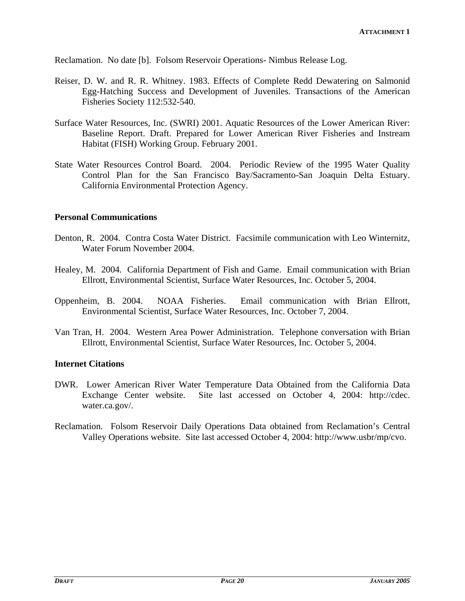Reclamation. No date [b]. Folsom Reservoir Operations- Nimbus Release Log.

- Reiser, D. W. and R. R. Whitney. 1983. Effects of Complete Redd Dewatering on Salmonid Egg-Hatching Success and Development of Juveniles. Transactions of the American Fisheries Society 112:532-540.
- Surface Water Resources, Inc. (SWRI) 2001. Aquatic Resources of the Lower American River: Baseline Report. Draft. Prepared for Lower American River Fisheries and Instream Habitat (FISH) Working Group. February 2001.
- State Water Resources Control Board. 2004. Periodic Review of the 1995 Water Quality Control Plan for the San Francisco Bay/Sacramento-San Joaquin Delta Estuary. California Environmental Protection Agency.

#### **Personal Communications**

- Denton, R. 2004. Contra Costa Water District. Facsimile communication with Leo Winternitz, Water Forum November 2004.
- Healey, M. 2004. California Department of Fish and Game. Email communication with Brian Ellrott, Environmental Scientist, Surface Water Resources, Inc. October 5, 2004.
- Oppenheim, B. 2004. NOAA Fisheries. Email communication with Brian Ellrott, Environmental Scientist, Surface Water Resources, Inc. October 7, 2004.
- Van Tran, H. 2004. Western Area Power Administration. Telephone conversation with Brian Ellrott, Environmental Scientist, Surface Water Resources, Inc. October 5, 2004.

#### **Internet Citations**

- DWR. Lower American River Water Temperature Data Obtained from the California Data Exchange Center website. Site last accessed on October 4, 2004: http://cdec. water.ca.gov/.
- Reclamation. Folsom Reservoir Daily Operations Data obtained from Reclamation's Central Valley Operations website. Site last accessed October 4, 2004: http://www.usbr/mp/cvo.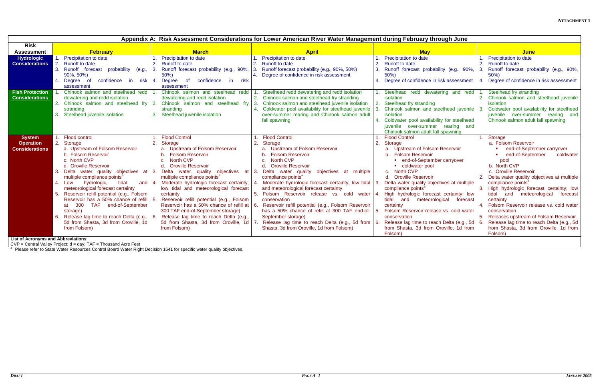| Appendix A: Risk Assessment Considerations for Lower American River Water Management during February through June |                                                                                                                                                                                                                                                                                                                                                                                                                                                                                          |                                                                                                                                                                                                                                                                                                                                                                                                                                                                                                                                                                                                         |                                                                                                                                                                                                                                                                                                                                                                                                                                                                                                                                                                                                                           |                                                                                                                                                                                                                                                                                                                                                                                                                                                                                                                                                                                                                                          |                                                                                                                                                                                                                                                                                                                                                                                                                                                                                                                                            |  |
|-------------------------------------------------------------------------------------------------------------------|------------------------------------------------------------------------------------------------------------------------------------------------------------------------------------------------------------------------------------------------------------------------------------------------------------------------------------------------------------------------------------------------------------------------------------------------------------------------------------------|---------------------------------------------------------------------------------------------------------------------------------------------------------------------------------------------------------------------------------------------------------------------------------------------------------------------------------------------------------------------------------------------------------------------------------------------------------------------------------------------------------------------------------------------------------------------------------------------------------|---------------------------------------------------------------------------------------------------------------------------------------------------------------------------------------------------------------------------------------------------------------------------------------------------------------------------------------------------------------------------------------------------------------------------------------------------------------------------------------------------------------------------------------------------------------------------------------------------------------------------|------------------------------------------------------------------------------------------------------------------------------------------------------------------------------------------------------------------------------------------------------------------------------------------------------------------------------------------------------------------------------------------------------------------------------------------------------------------------------------------------------------------------------------------------------------------------------------------------------------------------------------------|--------------------------------------------------------------------------------------------------------------------------------------------------------------------------------------------------------------------------------------------------------------------------------------------------------------------------------------------------------------------------------------------------------------------------------------------------------------------------------------------------------------------------------------------|--|
| <b>Risk</b>                                                                                                       |                                                                                                                                                                                                                                                                                                                                                                                                                                                                                          |                                                                                                                                                                                                                                                                                                                                                                                                                                                                                                                                                                                                         |                                                                                                                                                                                                                                                                                                                                                                                                                                                                                                                                                                                                                           |                                                                                                                                                                                                                                                                                                                                                                                                                                                                                                                                                                                                                                          |                                                                                                                                                                                                                                                                                                                                                                                                                                                                                                                                            |  |
| <b>Assessment</b>                                                                                                 | <b>February</b>                                                                                                                                                                                                                                                                                                                                                                                                                                                                          | <b>March</b>                                                                                                                                                                                                                                                                                                                                                                                                                                                                                                                                                                                            | <b>April</b>                                                                                                                                                                                                                                                                                                                                                                                                                                                                                                                                                                                                              | <b>May</b>                                                                                                                                                                                                                                                                                                                                                                                                                                                                                                                                                                                                                               | <b>June</b>                                                                                                                                                                                                                                                                                                                                                                                                                                                                                                                                |  |
| <b>Hydrologic</b><br><b>Considerations</b><br><b>Fish Protection</b><br><b>Considerations</b>                     | Precipitation to date<br><b>Runoff to date</b><br>$\mathcal{P}$<br>3. Runoff forecast<br>probability<br>(e.g.,<br>90%, 50%)<br>confidence<br><b>Degree</b><br>- of<br>in i<br>risk   4.<br>assessment<br>Chinook salmon and steelhead redd<br>dewatering and redd isolation<br>stranding<br>Steelhead juvenile isolation                                                                                                                                                                 | Precipitation to date<br>2. Runoff to date<br>3. Runoff forecast probability (e.g., 90%, 3.<br>50%<br>confidence<br>Degree<br>of<br>in l<br><b>risk</b><br>assessment<br>Chinook salmon and steelhead redd<br>dewatering and redd isolation<br>2. Chinook salmon and steelhead fry 2. Chinook salmon and steelhead fry<br>stranding<br>3. Steelhead juvenile isolation                                                                                                                                                                                                                                  | Precipitation to date<br>Runoff to date<br>2.<br>Runoff forecast probability (e.g., 90%, 50%)<br>Degree of confidence in risk assessment<br>Steelhead redd dewatering and redd isolation<br>2. Chinook salmon and steelhead fry stranding<br>Chinook salmon and steelhead juvenile isolation<br>4. Coldwater pool availability for steelhead juvenile<br>over-summer rearing and Chinook salmon adult<br>fall spawning                                                                                                                                                                                                    | 1. Precipitation to date<br>2. Runoff to date<br>3. Runoff forecast probability (e.g., 90%,<br>50%<br>4. Degree of confidence in risk assessment<br>1. Steelhead redd dewatering and redd<br>isolation<br>2. Steelhead fry stranding<br>Chinook salmon and steelhead juvenile   3.<br>isolation<br>4. Coldwater pool availability for steelhead                                                                                                                                                                                                                                                                                          | Precipitation to date<br><b>Runoff to date</b><br>3.<br>Runoff forecast probability (e.g., 90%,<br>50%<br>Degree of confidence in risk assessment<br>Steelhead fry stranding<br>2. Chinook salmon and steelhead juvenile<br>isolation<br>Coldwater pool availability for steelhead<br>juvenile over-summer rearing and<br>Chinook salmon adult fall spawning                                                                                                                                                                               |  |
| <b>System</b><br><b>Operation</b><br><b>Considerations</b><br>Liet of Acronyme and Abbroviatione                  | Flood control<br>2.<br>Storage<br>a. Upstream of Folsom Reservoir<br>b. Folsom Reservoir<br>c. North CVP<br>d. Oroville Reservoir<br>multiple compliance points <sup>a</sup><br>hydrologic,<br>tidal,<br>4. Low<br>meteorological forecast certainty<br>Reservoir refill potential (e.g., Folsom<br>Reservoir has a 50% chance of refill<br>TAF end-of-September<br>at 300<br>storage)<br>Release lag time to reach Delta (e.g.,<br>5d from Shasta, 3d from Oroville, 1d<br>from Folsom) | <b>Flood Control</b><br>2. Storage<br>a. Upstream of Folsom Reservoir<br><b>Folsom Reservoir</b><br>North CVP<br>d. Oroville Reservoir<br>Delta water quality objectives at 3. Delta water quality objectives at<br>multiple compliance points <sup>a</sup><br>and   4. Moderate hydrologic forecast certainty;<br>low tidal and meteorological forecast<br>certainty<br>Reservoir refill potential (e.g., Folsom<br>Reservoir has a 50% chance of refill at<br>300 TAF end-of-September storage)<br>Release lag time to reach Delta (e.g.,<br>5d from Shasta, 3d from Oroville, 1d   7<br>from Folsom) | <b>Flood Control</b><br>Storage<br>a. Upstream of Folsom Reservoir<br><b>Folsom Reservoir</b><br><b>North CVP</b><br><b>Oroville Reservoir</b><br>Delta water quality<br>objectives at multiple<br>compliance points <sup>a</sup><br>Moderate hydrologic forecast certainty; low tidal<br>and meteorological forecast certainty<br>5. Folsom Reservoir release vs. cold water<br>conservation<br>Reservoir refill potential (e.g., Folsom Reservoir<br>has a 50% chance of refill at 300 TAF end-of-<br>September storage)<br>Release lag time to reach Delta (e.g., 5d from<br>Shasta, 3d from Oroville, 1d from Folsom) | juvenile over-summer rearing and<br>Chinook salmon adult fall spawning<br><b>Flood Control</b><br>1.<br>2.<br>Storage<br>a. Upstream of Folsom Reservoir<br><b>Folsom Reservoir</b><br>• end-of-September carryover<br>• coldwater pool<br>North CVP<br>C.<br>d. Oroville Reservoir<br>Delta water quality objectives at multiple<br>compliance points <sup>a</sup><br>High hydrologic forecast certainty; low<br>tidal<br>and meteorological<br>forecast<br>certainty<br>Folsom Reservoir release vs. cold water<br>conservation<br>Release lag time to reach Delta (e.g., 5d   6.<br>from Shasta, 3d from Oroville, 1d from<br>Folsom) | Storage<br>a. Folsom Reservoir<br>end-of-September carryover<br>end-of-September<br>coldwater<br>pool<br>b. North CVP<br>c. Oroville Reservoir<br>Delta water quality objectives at multiple<br>compliance points <sup>a</sup><br>High hydrologic forecast certainty; low<br>tidal<br>and meteorological<br>forecast<br>certainty<br>Folsom Reservoir release vs. cold water<br>conservation<br>5. Releases upstream of Folsom Reservoir<br>Release lag time to reach Delta (e.g., 5d<br>from Shasta, 3d from Oroville, 1d from<br>Folsom) |  |

**List of Acronyms and Abbreviations**:

CVP = Central Valley Project; d = day; TAF = Thousand Acre Feet

<sup>a</sup> Please refer to State Water Resources Control Board Water Right Decision 1641 for specific water quality objectives.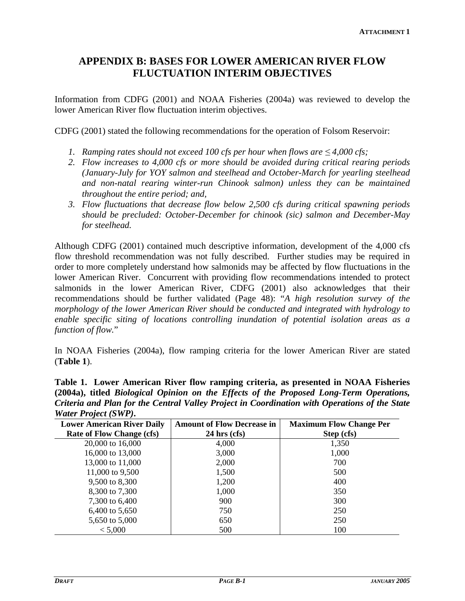## **APPENDIX B: BASES FOR LOWER AMERICAN RIVER FLOW FLUCTUATION INTERIM OBJECTIVES**

Information from CDFG (2001) and NOAA Fisheries (2004a) was reviewed to develop the lower American River flow fluctuation interim objectives.

CDFG (2001) stated the following recommendations for the operation of Folsom Reservoir:

- *1. Ramping rates should not exceed 100 cfs per hour when flows are*  $\leq 4,000$  cfs;
- *2. Flow increases to 4,000 cfs or more should be avoided during critical rearing periods (January-July for YOY salmon and steelhead and October-March for yearling steelhead and non-natal rearing winter-run Chinook salmon) unless they can be maintained throughout the entire period; and,*
- *3. Flow fluctuations that decrease flow below 2,500 cfs during critical spawning periods should be precluded: October-December for chinook (sic) salmon and December-May for steelhead.*

Although CDFG (2001) contained much descriptive information, development of the 4,000 cfs flow threshold recommendation was not fully described. Further studies may be required in order to more completely understand how salmonids may be affected by flow fluctuations in the lower American River. Concurrent with providing flow recommendations intended to protect salmonids in the lower American River, CDFG (2001) also acknowledges that their recommendations should be further validated (Page 48): "*A high resolution survey of the morphology of the lower American River should be conducted and integrated with hydrology to enable specific siting of locations controlling inundation of potential isolation areas as a function of flow.*"

In NOAA Fisheries (2004a), flow ramping criteria for the lower American River are stated (**Table 1**).

**Table 1. Lower American River flow ramping criteria, as presented in NOAA Fisheries (2004a), titled** *Biological Opinion on the Effects of the Proposed Long-Term Operations, Criteria and Plan for the Central Valley Project in Coordination with Operations of the State Water Project (SWP)***.** 

| <b>Lower American River Daily</b> | <b>Amount of Flow Decrease in</b> | <b>Maximum Flow Change Per</b> |
|-----------------------------------|-----------------------------------|--------------------------------|
| <b>Rate of Flow Change (cfs)</b>  | $24$ hrs (cfs)                    | Step (cfs)                     |
| 20,000 to 16,000                  | 4,000                             | 1,350                          |
| 16,000 to 13,000                  | 3,000                             | 1,000                          |
| 13,000 to 11,000                  | 2,000                             | 700                            |
| 11,000 to 9,500                   | 1,500                             | 500                            |
| 9,500 to 8,300                    | 1,200                             | 400                            |
| 8,300 to 7,300                    | 1,000                             | 350                            |
| 7,300 to 6,400                    | 900                               | 300                            |
| 6,400 to 5,650                    | 750                               | 250                            |
| 5,650 to 5,000                    | 650                               | 250                            |
| < 5,000                           | 500                               | 100                            |